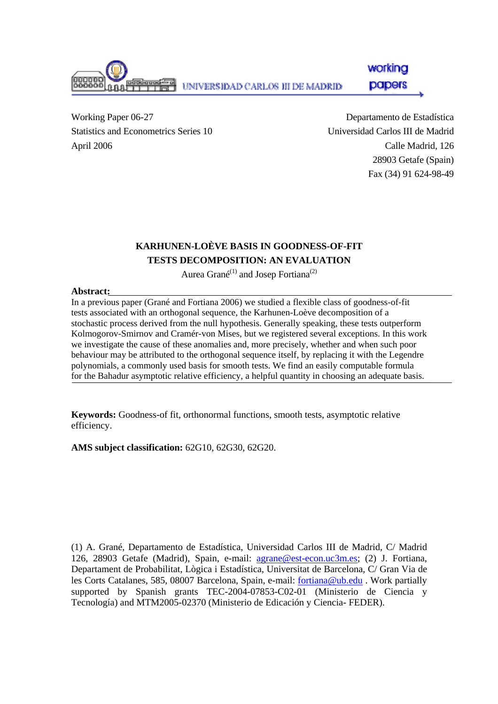

workina papers

Working Paper 06-27 Statistics and Econometrics Series 10 April 2006

Departamento de Estadística Universidad Carlos III de Madrid Calle Madrid, 126 28903 Getafe (Spain) Fax (34) 91 624-98-49

## **KARHUNEN-LOÈVE BASIS IN GOODNESS-OF-FIT TESTS DECOMPOSITION: AN EVALUATION**

Aurea Grané<sup>(1)</sup> and Josep Fortiana<sup>(2)</sup>

### **Abstract:**

In a previous paper (Grané and Fortiana 2006) we studied a flexible class of goodness-of-fit tests associated with an orthogonal sequence, the Karhunen-Loève decomposition of a stochastic process derived from the null hypothesis. Generally speaking, these tests outperform Kolmogorov-Smirnov and Cramér-von Mises, but we registered several exceptions. In this work we investigate the cause of these anomalies and, more precisely, whether and when such poor behaviour may be attributed to the orthogonal sequence itself, by replacing it with the Legendre polynomials, a commonly used basis for smooth tests. We find an easily computable formula for the Bahadur asymptotic relative efficiency, a helpful quantity in choosing an adequate basis.

**Keywords:** Goodness-of fit, orthonormal functions, smooth tests, asymptotic relative efficiency.

**AMS subject classification:** 62G10, 62G30, 62G20.

(1) A. Grané, Departamento de Estadística, Universidad Carlos III de Madrid, C/ Madrid 126, 28903 Getafe (Madrid), Spain, e-mail: [agrane@est-econ.uc3m.es](mailto:agrane@est-econ.uc3m.es); (2) J. Fortiana, Departament de Probabilitat, Lògica i Estadística, Universitat de Barcelona, C/ Gran Via de les Corts Catalanes, 585, 08007 Barcelona, Spain, e-mail: [fortiana@ub.edu](mailto:fortiana@ub.edu) . Work partially supported by Spanish grants TEC-2004-07853-C02-01 (Ministerio de Ciencia y Tecnología) and MTM2005-02370 (Ministerio de Edicación y Ciencia- FEDER).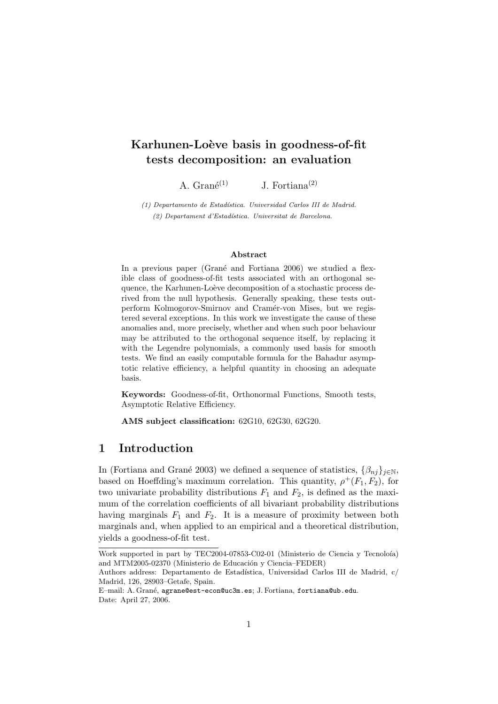# Karhunen-Loève basis in goodness-of-fit tests decomposition: an evaluation

A.  $Gran\acute{e}^{(1)}$  J. Fortiana<sup>(2)</sup>

 $(1)$  Departamento de Estadística. Universidad Carlos III de Madrid. (2) Departament d'Estad´ıstica. Universitat de Barcelona.

#### Abstract

In a previous paper (Grané and Fortiana 2006) we studied a flexible class of goodness-of-fit tests associated with an orthogonal sequence, the Karhunen-Loève decomposition of a stochastic process derived from the null hypothesis. Generally speaking, these tests outperform Kolmogorov-Smirnov and Cramér-von Mises, but we registered several exceptions. In this work we investigate the cause of these anomalies and, more precisely, whether and when such poor behaviour may be attributed to the orthogonal sequence itself, by replacing it with the Legendre polynomials, a commonly used basis for smooth tests. We find an easily computable formula for the Bahadur asymptotic relative efficiency, a helpful quantity in choosing an adequate basis.

Keywords: Goodness-of-fit, Orthonormal Functions, Smooth tests, Asymptotic Relative Efficiency.

AMS subject classification: 62G10, 62G30, 62G20.

## 1 Introduction

In (Fortiana and Grané 2003) we defined a sequence of statistics,  $\{\beta_{ni}\}_{i\in\mathbb{N}}$ , based on Hoeffding's maximum correlation. This quantity,  $\rho^+(F_1, F_2)$ , for two univariate probability distributions  $F_1$  and  $F_2$ , is defined as the maximum of the correlation coefficients of all bivariant probability distributions having marginals  $F_1$  and  $F_2$ . It is a measure of proximity between both marginals and, when applied to an empirical and a theoretical distribution, yields a goodness-of-fit test.

Work supported in part by TEC2004-07853-C02-01 (Ministerio de Ciencia y Tecnoloía) and MTM2005-02370 (Ministerio de Educación y Ciencia–FEDER)

Authors address: Departamento de Estadística, Universidad Carlos III de Madrid, c/ Madrid, 126, 28903–Getafe, Spain.

E-mail: A. Grané, agrane@est-econ@uc3m.es; J. Fortiana, fortiana@ub.edu. Date: April 27, 2006.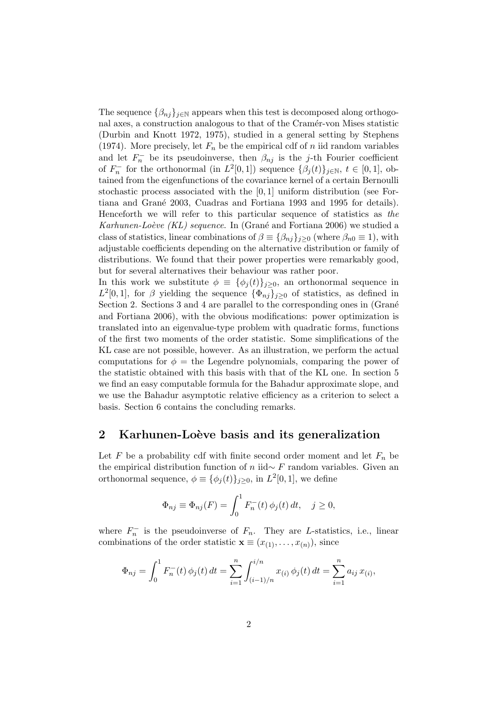The sequence  $\{\beta_{nj}\}_{j\in\mathbb{N}}$  appears when this test is decomposed along orthogonal axes, a construction analogous to that of the Cramér-von Mises statistic (Durbin and Knott 1972, 1975), studied in a general setting by Stephens (1974). More precisely, let  $F_n$  be the empirical cdf of n iid random variables and let  $F_n^-$  be its pseudoinverse, then  $\beta_{nj}$  is the j-th Fourier coefficient of  $F_n^-$  for the orthonormal (in  $L^2[0,1]$ ) sequence  $\{\beta_j(t)\}_{j\in\mathbb{N}}$ ,  $t\in[0,1]$ , obtained from the eigenfunctions of the covariance kernel of a certain Bernoulli stochastic process associated with the [0, 1] uniform distribution (see Fortiana and Gran´e 2003, Cuadras and Fortiana 1993 and 1995 for details). Henceforth we will refer to this particular sequence of statistics as the Karhunen-Loève (KL) sequence. In (Grané and Fortiana 2006) we studied a class of statistics, linear combinations of  $\beta \equiv {\beta_{nj}}_{j\geq 0}$  (where  $\beta_{n0} \equiv 1$ ), with adjustable coefficients depending on the alternative distribution or family of distributions. We found that their power properties were remarkably good, but for several alternatives their behaviour was rather poor.

In this work we substitute  $\phi \equiv {\{\phi_j(t)\}}_{j\geq 0}$ , an orthonormal sequence in  $L^2[0,1]$ , for  $\beta$  yielding the sequence  $\{\Phi_{nj}\}_{j\geq 0}$  of statistics, as defined in Section 2. Sections 3 and 4 are parallel to the corresponding ones in (Grané and Fortiana 2006), with the obvious modifications: power optimization is translated into an eigenvalue-type problem with quadratic forms, functions of the first two moments of the order statistic. Some simplifications of the KL case are not possible, however. As an illustration, we perform the actual computations for  $\phi =$  the Legendre polynomials, comparing the power of the statistic obtained with this basis with that of the KL one. In section 5 we find an easy computable formula for the Bahadur approximate slope, and we use the Bahadur asymptotic relative efficiency as a criterion to select a basis. Section 6 contains the concluding remarks.

### 2 Karhunen-Loève basis and its generalization

Let F be a probability cdf with finite second order moment and let  $F_n$  be the empirical distribution function of n iid∼ F random variables. Given an orthonormal sequence,  $\phi \equiv {\{\phi_j(t)\}_{j\geq 0}}$ , in  $L^2[0,1]$ , we define

$$
\Phi_{nj} \equiv \Phi_{nj}(F) = \int_0^1 F_n^-(t) \phi_j(t) dt, \quad j \ge 0,
$$

where  $F_n^-$  is the pseudoinverse of  $F_n$ . They are L-statistics, i.e., linear combinations of the order statistic  $\mathbf{x} \equiv (x_{(1)}, \ldots, x_{(n)})$ , since

$$
\Phi_{nj} = \int_0^1 F_n^{-}(t) \phi_j(t) dt = \sum_{i=1}^n \int_{(i-1)/n}^{i/n} x_{(i)} \phi_j(t) dt = \sum_{i=1}^n a_{ij} x_{(i)},
$$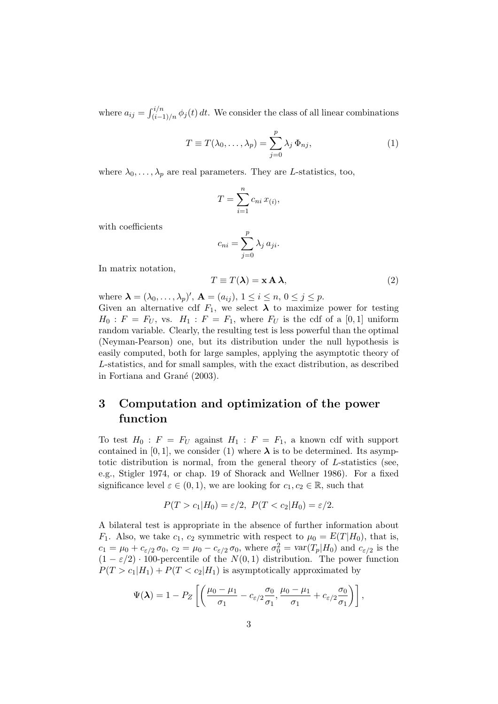where  $a_{ij} = \int_{(i-1)/n}^{i/n} \phi_j(t) dt$ . We consider the class of all linear combinations

$$
T \equiv T(\lambda_0, \dots, \lambda_p) = \sum_{j=0}^p \lambda_j \, \Phi_{nj}, \tag{1}
$$

where  $\lambda_0, \ldots, \lambda_p$  are real parameters. They are L-statistics, too,

$$
T = \sum_{i=1}^{n} c_{ni} x_{(i)},
$$

with coefficients

$$
c_{ni} = \sum_{j=0}^{p} \lambda_j a_{ji}.
$$

In matrix notation,

$$
T \equiv T(\lambda) = \mathbf{x} \mathbf{A} \lambda,\tag{2}
$$

where  $\lambda = (\lambda_0, \ldots, \lambda_p)'$ ,  $\mathbf{A} = (a_{ij}), 1 \le i \le n, 0 \le j \le p$ . Given an alternative cdf  $F_1$ , we select  $\lambda$  to maximize power for testing  $H_0$ :  $F = F_U$ , vs.  $H_1$ :  $F = F_1$ , where  $F_U$  is the cdf of a [0,1] uniform random variable. Clearly, the resulting test is less powerful than the optimal (Neyman-Pearson) one, but its distribution under the null hypothesis is

easily computed, both for large samples, applying the asymptotic theory of L-statistics, and for small samples, with the exact distribution, as described in Fortiana and Grané (2003).

# 3 Computation and optimization of the power function

To test  $H_0$ :  $F = F_U$  against  $H_1$ :  $F = F_1$ , a known cdf with support contained in [0, 1], we consider (1) where  $\lambda$  is to be determined. Its asymptotic distribution is normal, from the general theory of L-statistics (see, e.g., Stigler 1974, or chap. 19 of Shorack and Wellner 1986). For a fixed significance level  $\varepsilon \in (0,1)$ , we are looking for  $c_1, c_2 \in \mathbb{R}$ , such that

$$
P(T > c_1|H_0) = \varepsilon/2, \ P(T < c_2|H_0) = \varepsilon/2.
$$

A bilateral test is appropriate in the absence of further information about  $F_1$ . Also, we take  $c_1$ ,  $c_2$  symmetric with respect to  $\mu_0 = E(T|H_0)$ , that is,  $c_1 = \mu_0 + c_{\varepsilon/2} \sigma_0$ ,  $c_2 = \mu_0 - c_{\varepsilon/2} \sigma_0$ , where  $\sigma_0^2 = \text{var}(T_p|H_0)$  and  $c_{\varepsilon/2}$  is the  $(1 - \varepsilon/2) \cdot 100$ -percentile of the  $N(0, 1)$  distribution. The power function  $P(T > c_1|H_1) + P(T < c_2|H_1)$  is asymptotically approximated by

$$
\Psi(\boldsymbol{\lambda}) = 1 - P_Z \left[ \left( \frac{\mu_0 - \mu_1}{\sigma_1} - c_{\varepsilon/2} \frac{\sigma_0}{\sigma_1}, \frac{\mu_0 - \mu_1}{\sigma_1} + c_{\varepsilon/2} \frac{\sigma_0}{\sigma_1} \right) \right],
$$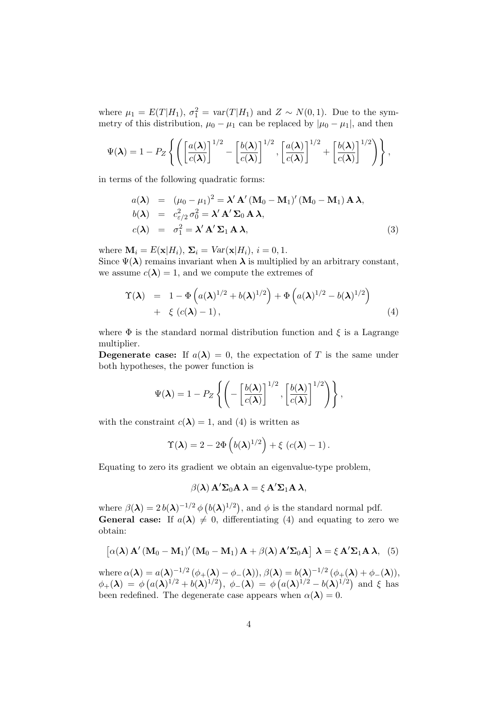where  $\mu_1 = E(T|H_1)$ ,  $\sigma_1^2 = \text{var}(T|H_1)$  and  $Z \sim N(0, 1)$ . Due to the symmetry of this distribution,  $\mu_0 - \mu_1$  can be replaced by  $|\mu_0 - \mu_1|$ , and then

$$
\Psi(\boldsymbol{\lambda}) = 1 - P_Z \left\{ \left( \left[ \frac{a(\boldsymbol{\lambda})}{c(\boldsymbol{\lambda})} \right]^{1/2} - \left[ \frac{b(\boldsymbol{\lambda})}{c(\boldsymbol{\lambda})} \right]^{1/2}, \left[ \frac{a(\boldsymbol{\lambda})}{c(\boldsymbol{\lambda})} \right]^{1/2} + \left[ \frac{b(\boldsymbol{\lambda})}{c(\boldsymbol{\lambda})} \right]^{1/2} \right) \right\},
$$

in terms of the following quadratic forms:

$$
a(\lambda) = (\mu_0 - \mu_1)^2 = \lambda' \mathbf{A}' (\mathbf{M}_0 - \mathbf{M}_1)' (\mathbf{M}_0 - \mathbf{M}_1) \mathbf{A} \lambda,
$$
  
\n
$$
b(\lambda) = c_{\varepsilon/2}^2 \sigma_0^2 = \lambda' \mathbf{A}' \Sigma_0 \mathbf{A} \lambda,
$$
  
\n
$$
c(\lambda) = \sigma_1^2 = \lambda' \mathbf{A}' \Sigma_1 \mathbf{A} \lambda,
$$
\n(3)

where  $\mathbf{M}_i = E(\mathbf{x}|H_i), \ \mathbf{\Sigma}_i = Var(\mathbf{x}|H_i), i = 0, 1.$ 

Since  $\Psi(\lambda)$  remains invariant when  $\lambda$  is multiplied by an arbitrary constant, we assume  $c(\lambda) = 1$ , and we compute the extremes of

$$
\Upsilon(\lambda) = 1 - \Phi\left(a(\lambda)^{1/2} + b(\lambda)^{1/2}\right) + \Phi\left(a(\lambda)^{1/2} - b(\lambda)^{1/2}\right) \n+ \xi\left(c(\lambda) - 1\right), \tag{4}
$$

where  $\Phi$  is the standard normal distribution function and  $\xi$  is a Lagrange multiplier.

**Degenerate case:** If  $a(\lambda) = 0$ , the expectation of T is the same under both hypotheses, the power function is

$$
\Psi(\boldsymbol{\lambda}) = 1 - P_Z \left\{ \left( - \left[ \frac{b(\boldsymbol{\lambda})}{c(\boldsymbol{\lambda})} \right]^{1/2}, \left[ \frac{b(\boldsymbol{\lambda})}{c(\boldsymbol{\lambda})} \right]^{1/2} \right) \right\},
$$

with the constraint  $c(\lambda) = 1$ , and (4) is written as

$$
\Upsilon(\boldsymbol{\lambda}) = 2 - 2\Phi\left(b(\boldsymbol{\lambda})^{1/2}\right) + \xi\left(c(\boldsymbol{\lambda}) - 1\right).
$$

Equating to zero its gradient we obtain an eigenvalue-type problem,

$$
\beta(\lambda) \mathbf{A}' \mathbf{\Sigma}_0 \mathbf{A} \lambda = \xi \mathbf{A}' \mathbf{\Sigma}_1 \mathbf{A} \lambda,
$$

where  $\beta(\lambda) = 2 b(\lambda)^{-1/2} \phi(b(\lambda)^{1/2})$ , and  $\phi$  is the standard normal pdf. **General case:** If  $a(\lambda) \neq 0$ , differentiating (4) and equating to zero we obtain:

$$
\left[\alpha(\lambda) \mathbf{A}' (\mathbf{M}_0 - \mathbf{M}_1)' (\mathbf{M}_0 - \mathbf{M}_1) \mathbf{A} + \beta(\lambda) \mathbf{A}' \mathbf{\Sigma}_0 \mathbf{A}\right] \lambda = \xi \mathbf{A}' \mathbf{\Sigma}_1 \mathbf{A} \lambda, \tag{5}
$$

where  $\alpha(\lambda) = a(\lambda)^{-1/2} (\phi_+(\lambda) - \phi_-(\lambda)), \beta(\lambda) = b(\lambda)^{-1/2} (\phi_+(\lambda) + \phi_-(\lambda)),$  $\phi_+(\bm{\lambda}) \; = \; \phi\left(a(\bm{\lambda})^{1/2} + b(\bm{\lambda})^{1/2}\right), \; \phi_-(\bm{\lambda}) \; = \; \phi\left(a(\bm{\lambda})^{1/2} - b(\bm{\lambda})^{1/2}\right) \; \text{and} \; \xi \; \text{has}$ been redefined. The degenerate case appears when  $\alpha(\lambda) = 0$ .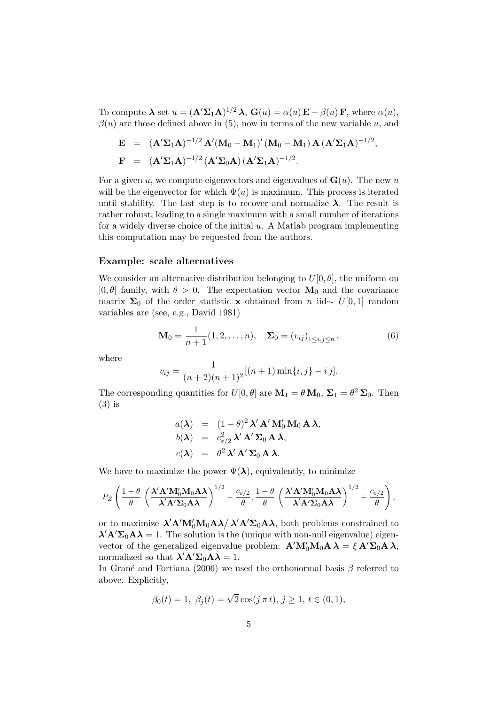To compute  $\boldsymbol{\lambda}$  set  $u = (\mathbf{A}' \Sigma_1 \mathbf{A})^{1/2} \lambda$ ,  $\mathbf{G}(u) = \alpha(u) \mathbf{E} + \beta(u) \mathbf{F}$ , where  $\alpha(u)$ ,  $\beta(u)$  are those defined above in (5), now in terms of the new variable u, and

$$
\mathbf{E} = (\mathbf{A}'\mathbf{\Sigma}_1\mathbf{A})^{-1/2} \mathbf{A}' (\mathbf{M}_0 - \mathbf{M}_1)' (\mathbf{M}_0 - \mathbf{M}_1) \mathbf{A} (\mathbf{A}'\mathbf{\Sigma}_1\mathbf{A})^{-1/2},
$$
  

$$
\mathbf{F} = (\mathbf{A}'\mathbf{\Sigma}_1\mathbf{A})^{-1/2} (\mathbf{A}'\mathbf{\Sigma}_0\mathbf{A}) (\mathbf{A}'\mathbf{\Sigma}_1\mathbf{A})^{-1/2}.
$$

For a given u, we compute eigenvectors and eigenvalues of  $G(u)$ . The new u will be the eigenvector for which  $\Psi(u)$  is maximum. This process is iterated until stability. The last step is to recover and normalize  $\lambda$ . The result is rather robust, leading to a single maximum with a small number of iterations for a widely diverse choice of the initial  $u$ . A Matlab program implementing this computation may be requested from the authors.

#### Example: scale alternatives

We consider an alternative distribution belonging to  $U[0, \theta]$ , the uniform on [0,  $\theta$ ] family, with  $\theta > 0$ . The expectation vector  $M_0$  and the covariance matrix  $\Sigma_0$  of the order statistic x obtained from n iid∼ U[0,1] random variables are (see, e.g., David 1981)

$$
\mathbf{M}_0 = \frac{1}{n+1}(1, 2, \dots, n), \quad \mathbf{\Sigma}_0 = (v_{ij})_{1 \le i, j \le n}, \tag{6}
$$

where

$$
v_{ij} = \frac{1}{(n+2)(n+1)^2} [(n+1)\min\{i,j\} - i j].
$$

The corresponding quantities for  $U[0, \theta]$  are  $M_1 = \theta M_0$ ,  $\Sigma_1 = \theta^2 \Sigma_0$ . Then (3) is

$$
a(\lambda) = (1 - \theta)^2 \lambda' \mathbf{A}' \mathbf{M}'_0 \mathbf{M}_0 \mathbf{A} \lambda,
$$
  
\n
$$
b(\lambda) = c_{\varepsilon/2}^2 \lambda' \mathbf{A}' \Sigma_0 \mathbf{A} \lambda,
$$
  
\n
$$
c(\lambda) = \theta^2 \lambda' \mathbf{A}' \Sigma_0 \mathbf{A} \lambda.
$$

We have to maximize the power  $\Psi(\lambda)$ , equivalently, to minimize

$$
P_Z\left(\frac{1-\theta}{\theta}\left(\frac{\lambda'\mathbf{A}'\mathbf{M}_0'\mathbf{M}_0\mathbf{A}\boldsymbol{\lambda}}{\lambda'\mathbf{A}'\boldsymbol{\Sigma}_0\mathbf{A}\boldsymbol{\lambda}}\right)^{1/2}-\frac{c_{\varepsilon/2}}{\theta},\frac{1-\theta}{\theta}\left(\frac{\lambda'\mathbf{A}'\mathbf{M}_0'\mathbf{M}_0\mathbf{A}\boldsymbol{\lambda}}{\lambda'\mathbf{A}'\boldsymbol{\Sigma}_0\mathbf{A}\boldsymbol{\lambda}}\right)^{1/2}+\frac{c_{\varepsilon/2}}{\theta}\right),
$$

or to maximize  $\lambda' A' M_0' M_0 A \lambda / \lambda' A' \Sigma_0 A \lambda$ , both problems constrained to  $\lambda' A' \Sigma_0 A \lambda = 1$ . The solution is the (unique with non-null eigenvalue) eigenvector of the generalized eigenvalue problem:  $\mathbf{A}'\mathbf{M}'_0\mathbf{M}_0\mathbf{A}\lambda = \xi \mathbf{A}'\mathbf{\Sigma}_0\mathbf{A}\lambda$ , normalized so that  $\lambda' A' \Sigma_0 A \lambda = 1$ .

In Grané and Fortiana (2006) we used the orthonormal basis  $\beta$  referred to above. Explicitly,

$$
\beta_0(t) = 1, \ \beta_j(t) = \sqrt{2} \cos(j \pi t), \ j \ge 1, \ t \in (0, 1),
$$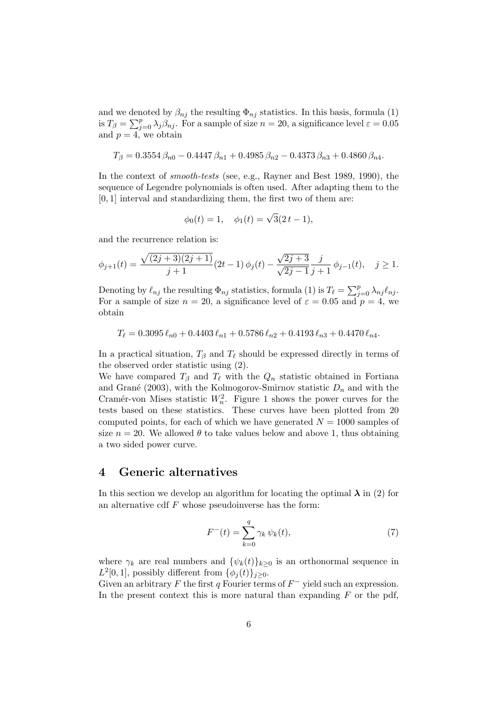and we denoted by  $\beta_{nj}$  the resulting  $\Phi_{nj}$  statistics. In this basis, formula (1) is  $T_{\beta} = \sum_{j=0}^{p} \lambda_j \beta_{nj}$ . For a sample of size  $n = 20$ , a significance level  $\varepsilon = 0.05$ and  $p = 4$ , we obtain

$$
T_{\beta} = 0.3554 \,\beta_{n0} - 0.4447 \,\beta_{n1} + 0.4985 \,\beta_{n2} - 0.4373 \,\beta_{n3} + 0.4860 \,\beta_{n4}.
$$

In the context of *smooth-tests* (see, e.g., Rayner and Best 1989, 1990), the sequence of Legendre polynomials is often used. After adapting them to the  $[0, 1]$  interval and standardizing them, the first two of them are:

$$
\phi_0(t) = 1, \quad \phi_1(t) = \sqrt{3}(2t - 1),
$$

and the recurrence relation is:

$$
\phi_{j+1}(t) = \frac{\sqrt{(2j+3)(2j+1)}}{j+1}(2t-1)\,\phi_j(t) - \frac{\sqrt{2j+3}}{\sqrt{2j-1}}\frac{j}{j+1}\,\phi_{j-1}(t), \quad j \ge 1.
$$

Denoting by  $\ell_{nj}$  the resulting  $\Phi_{nj}$  statistics, formula (1) is  $T_{\ell} = \sum_{j=0}^{p} \lambda_{nj} \ell_{nj}$ . For a sample of size  $n = 20$ , a significance level of  $\varepsilon = 0.05$  and  $p = 4$ , we obtain

$$
T_{\ell} = 0.3095 \,\ell_{n0} + 0.4403 \,\ell_{n1} + 0.5786 \,\ell_{n2} + 0.4193 \,\ell_{n3} + 0.4470 \,\ell_{n4}.
$$

In a practical situation,  $T_\beta$  and  $T_\ell$  should be expressed directly in terms of the observed order statistic using (2).

We have compared  $T_\beta$  and  $T_\ell$  with the  $Q_n$  statistic obtained in Fortiana and Grané (2003), with the Kolmogorov-Smirnov statistic  $D_n$  and with the Cramér-von Mises statistic  $W_n^2$ . Figure 1 shows the power curves for the tests based on these statistics. These curves have been plotted from 20 computed points, for each of which we have generated  $N = 1000$  samples of size  $n = 20$ . We allowed  $\theta$  to take values below and above 1, thus obtaining a two sided power curve.

### 4 Generic alternatives

In this section we develop an algorithm for locating the optimal  $\lambda$  in (2) for an alternative cdf  $F$  whose pseudoinverse has the form:

$$
F^{-}(t) = \sum_{k=0}^{q} \gamma_k \psi_k(t),
$$
\n(7)

where  $\gamma_k$  are real numbers and  $\{\psi_k(t)\}_{k\geq 0}$  is an orthonormal sequence in  $L^2[0,1]$ , possibly different from  $\{\phi_j(t)\}_{j\geq 0}$ .

Given an arbitrary F the first q Fourier terms of  $F^-$  yield such an expression. In the present context this is more natural than expanding  $F$  or the pdf,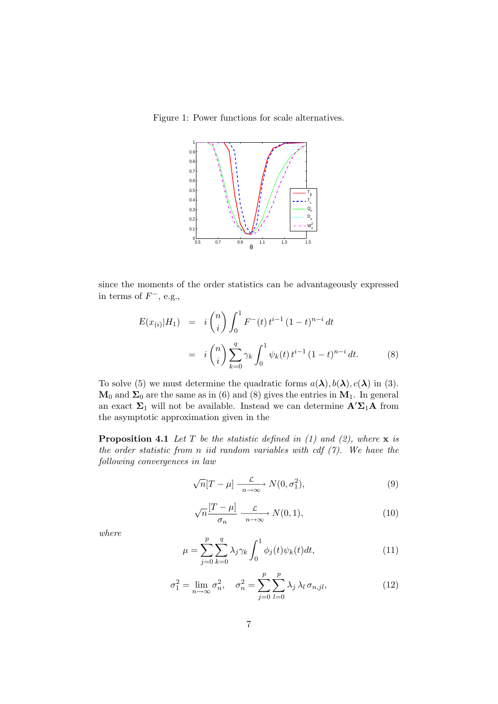Figure 1: Power functions for scale alternatives.



since the moments of the order statistics can be advantageously expressed in terms of  $F^-$ , e.g.,

$$
E(x_{(i)}|H_1) = i \binom{n}{i} \int_0^1 F^-(t) t^{i-1} (1-t)^{n-i} dt
$$
  
=  $i \binom{n}{i} \sum_{k=0}^q \gamma_k \int_0^1 \psi_k(t) t^{i-1} (1-t)^{n-i} dt.$  (8)

To solve (5) we must determine the quadratic forms  $a(\lambda)$ ,  $b(\lambda)$ ,  $c(\lambda)$  in (3).  $M_0$  and  $\Sigma_0$  are the same as in (6) and (8) gives the entries in  $M_1$ . In general an exact  $\Sigma_1$  will not be available. Instead we can determine  $\mathbf{A}'\Sigma_1\mathbf{A}$  from the asymptotic approximation given in the

**Proposition 4.1** Let T be the statistic defined in (1) and (2), where  $x$  is the order statistic from n iid random variables with cdf  $(7)$ . We have the following convergences in law

$$
\sqrt{n}[T-\mu] \xrightarrow[n \to \infty]{\mathcal{L}} N(0, \sigma_1^2),\tag{9}
$$

$$
\sqrt{n}\frac{[T-\mu]}{\sigma_n} \xrightarrow[n \to \infty]{} N(0,1),\tag{10}
$$

where

$$
\mu = \sum_{j=0}^{p} \sum_{k=0}^{q} \lambda_j \gamma_k \int_0^1 \phi_j(t) \psi_k(t) dt,
$$
\n(11)

$$
\sigma_1^2 = \lim_{n \to \infty} \sigma_n^2, \quad \sigma_n^2 = \sum_{j=0}^p \sum_{l=0}^p \lambda_j \lambda_l \,\sigma_{n,jl}, \tag{12}
$$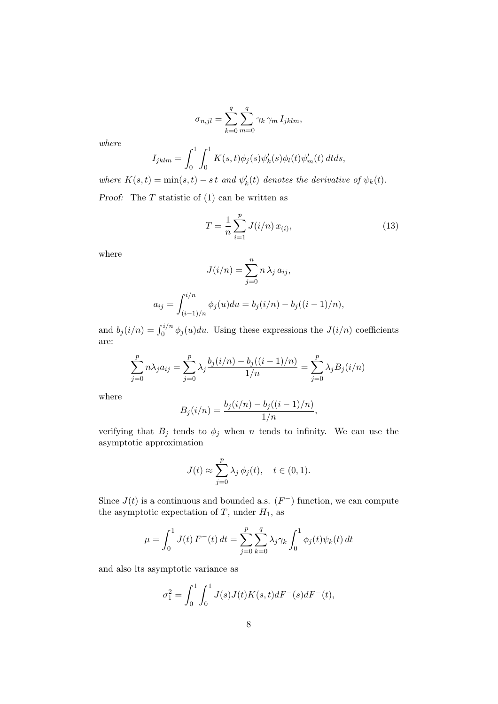$$
\sigma_{n,jl} = \sum_{k=0}^{q} \sum_{m=0}^{q} \gamma_k \gamma_m I_{jklm},
$$

where

$$
I_{jklm} = \int_0^1 \int_0^1 K(s,t)\phi_j(s)\psi'_k(s)\phi_l(t)\psi'_m(t) dt ds,
$$

where  $K(s,t) = \min(s,t) - st$  and  $\psi'_k(t)$  denotes the derivative of  $\psi_k(t)$ .

Proof: The  $T$  statistic of  $(1)$  can be written as

$$
T = \frac{1}{n} \sum_{i=1}^{p} J(i/n) x_{(i)},
$$
\n(13)

where

$$
J(i/n) = \sum_{j=0}^{n} n \lambda_j a_{ij},
$$

$$
a_{ij} = \int_{(i-1)/n}^{i/n} \phi_j(u) du = b_j(i/n) - b_j((i-1)/n),
$$

and  $b_j(i/n) = \int_0^{i/n} \phi_j(u) du$ . Using these expressions the  $J(i/n)$  coefficients are:

$$
\sum_{j=0}^{p} n \lambda_j a_{ij} = \sum_{j=0}^{p} \lambda_j \frac{b_j(i/n) - b_j((i-1)/n)}{1/n} = \sum_{j=0}^{p} \lambda_j B_j(i/n)
$$

where

$$
B_j(i/n) = \frac{b_j(i/n) - b_j((i-1)/n)}{1/n},
$$

verifying that  $B_j$  tends to  $\phi_j$  when n tends to infinity. We can use the asymptotic approximation

$$
J(t) \approx \sum_{j=0}^{p} \lambda_j \phi_j(t), \quad t \in (0,1).
$$

Since  $J(t)$  is a continuous and bounded a.s.  $(F^-)$  function, we can compute the asymptotic expectation of  $T$ , under  $H_1$ , as

$$
\mu = \int_0^1 J(t) F^{-}(t) dt = \sum_{j=0}^p \sum_{k=0}^q \lambda_j \gamma_k \int_0^1 \phi_j(t) \psi_k(t) dt
$$

and also its asymptotic variance as

$$
\sigma_1^2 = \int_0^1 \int_0^1 J(s)J(t)K(s,t)dF^-(s)dF^-(t),
$$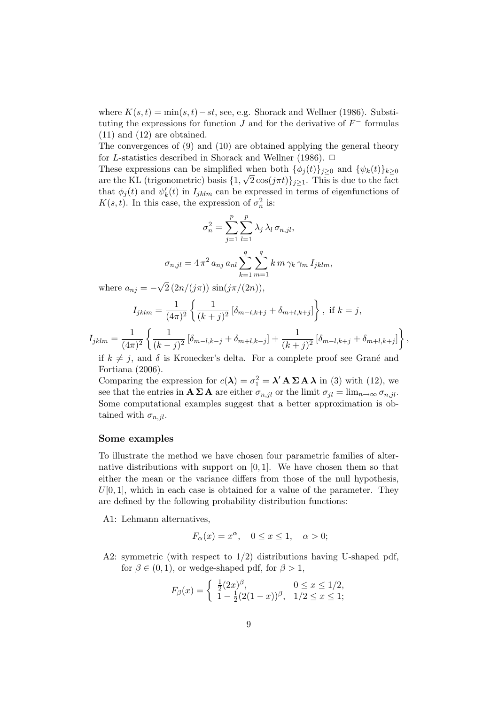where  $K(s,t) = \min(s,t) - st$ , see, e.g. Shorack and Wellner (1986). Substituting the expressions for function  $J$  and for the derivative of  $F^-$  formulas (11) and (12) are obtained.

The convergences of (9) and (10) are obtained applying the general theory for L-statistics described in Shorack and Wellner (1986).  $\Box$ 

These expressions can be simplified when both  $\{\phi_i(t)\}_{i\geq 0}$  and  $\{\psi_k(t)\}_{k\geq 0}$ are the KL (trigonometric) basis  $\{1, \sqrt{2} \cos(j\pi t)\}_{j\geq 1}$ . This is due to the fact that  $\phi_j(t)$  and  $\psi'_k(t)$  in  $I_{jklm}$  can be expressed in terms of eigenfunctions of  $K(s,t)$ . In this case, the expression of  $\sigma_n^2$  is:

$$
\sigma_n^2 = \sum_{j=1}^p \sum_{l=1}^p \lambda_j \lambda_l \,\sigma_{n,jl},
$$

$$
\sigma_{n,jl} = 4 \pi^2 \, a_{nj} \, a_{nl} \sum_{k=1}^q \sum_{m=1}^q k \, m \, \gamma_k \, \gamma_m \, I_{jklm},
$$

where  $a_{nj} = -\sqrt{2} (2n/(j\pi)) \sin(j\pi/(2n)),$ 

$$
I_{jklm} = \frac{1}{(4\pi)^2} \left\{ \frac{1}{(k+j)^2} \left[ \delta_{m-l,k+j} + \delta_{m+l,k+j} \right] \right\}, \text{ if } k = j,
$$

 $I_{jklm} = \frac{1}{14\pi}$  $(4\pi)^2$  $\int_1^1$  $\frac{1}{(k-j)^2} [\delta_{m-l,k-j} + \delta_{m+l,k-j}] + \frac{1}{(k+j)^2} [\delta_{m-l,k+j} + \delta_{m+l,k+j}]$ 

if  $k \neq j$ , and  $\delta$  is Kronecker's delta. For a complete proof see Grané and Fortiana (2006).

Comparing the expression for  $c(\lambda) = \sigma_1^2 = \lambda' A \Sigma A \lambda$  in (3) with (12), we see that the entries in  $\mathbf{A} \Sigma \mathbf{A}$  are either  $\sigma_{n,jl}$  or the limit  $\sigma_{jl} = \lim_{n \to \infty} \sigma_{n,jl}$ . Some computational examples suggest that a better approximation is obtained with  $\sigma_{n,jl}$ .

#### Some examples

To illustrate the method we have chosen four parametric families of alternative distributions with support on  $[0, 1]$ . We have chosen them so that either the mean or the variance differs from those of the null hypothesis,  $U[0, 1]$ , which in each case is obtained for a value of the parameter. They are defined by the following probability distribution functions:

A1: Lehmann alternatives,

$$
F_{\alpha}(x) = x^{\alpha}, \quad 0 \le x \le 1, \quad \alpha > 0;
$$

A2: symmetric (with respect to  $1/2$ ) distributions having U-shaped pdf, for  $\beta \in (0, 1)$ , or wedge-shaped pdf, for  $\beta > 1$ ,

$$
F_{\beta}(x) = \begin{cases} \frac{1}{2}(2x)^{\beta}, & 0 \le x \le 1/2, \\ 1 - \frac{1}{2}(2(1-x))^{\beta}, & 1/2 \le x \le 1; \end{cases}
$$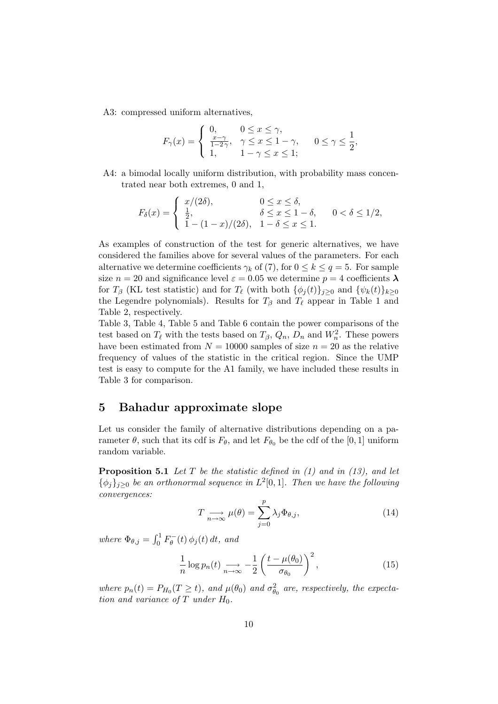A3: compressed uniform alternatives,

$$
F_{\gamma}(x) = \begin{cases} 0, & 0 \leq x \leq \gamma, \\ \frac{x-\gamma}{1-2\gamma}, & \gamma \leq x \leq 1-\gamma, \\ 1, & 1-\gamma \leq x \leq 1; \end{cases} \quad 0 \leq \gamma \leq \frac{1}{2},
$$

A4: a bimodal locally uniform distribution, with probability mass concentrated near both extremes, 0 and 1,

$$
F_{\delta}(x) = \begin{cases} x/(2\delta), & 0 \le x \le \delta, \\ \frac{1}{2}, & \delta \le x \le 1 - \delta, \\ 1 - (1 - x)/(2\delta), & 1 - \delta \le x \le 1. \end{cases} \quad 0 < \delta \le 1/2,
$$

As examples of construction of the test for generic alternatives, we have considered the families above for several values of the parameters. For each alternative we determine coefficients  $\gamma_k$  of (7), for  $0 \leq k \leq q = 5$ . For sample size  $n = 20$  and significance level  $\varepsilon = 0.05$  we determine  $p = 4$  coefficients  $\lambda$ for  $T_\beta$  (KL test statistic) and for  $T_\ell$  (with both  $\{\phi_i(t)\}_{i\geq 0}$  and  $\{\psi_k(t)\}_{k\geq 0}$ the Legendre polynomials). Results for  $T_\beta$  and  $T_\ell$  appear in Table 1 and Table 2, respectively.

Table 3, Table 4, Table 5 and Table 6 contain the power comparisons of the test based on  $T_{\ell}$  with the tests based on  $T_{\beta}$ ,  $Q_n$ ,  $D_n$  and  $W_n^2$ . These powers have been estimated from  $N = 10000$  samples of size  $n = 20$  as the relative frequency of values of the statistic in the critical region. Since the UMP test is easy to compute for the A1 family, we have included these results in Table 3 for comparison.

## 5 Bahadur approximate slope

Let us consider the family of alternative distributions depending on a parameter  $\theta$ , such that its cdf is  $F_{\theta}$ , and let  $F_{\theta_0}$  be the cdf of the [0, 1] uniform random variable.

**Proposition 5.1** Let T be the statistic defined in  $(1)$  and in  $(13)$ , and let  $\{\phi_j\}_{j\geq 0}$  be an orthonormal sequence in  $L^2[0,1]$ . Then we have the following convergences:

$$
T \underset{n \to \infty}{\longrightarrow} \mu(\theta) = \sum_{j=0}^{p} \lambda_j \Phi_{\theta,j}, \qquad (14)
$$

where  $\Phi_{\theta,j} = \int_0^1 F_{\theta}^{-}(t) \phi_j(t) dt$ , and

$$
\frac{1}{n}\log p_n(t) \underset{n\to\infty}{\longrightarrow} -\frac{1}{2}\left(\frac{t-\mu(\theta_0)}{\sigma_{\theta_0}}\right)^2,\tag{15}
$$

where  $p_n(t) = P_{H_0}(T \ge t)$ , and  $\mu(\theta_0)$  and  $\sigma_{\theta_0}^2$  are, respectively, the expectation and variance of  $T$  under  $H_0$ .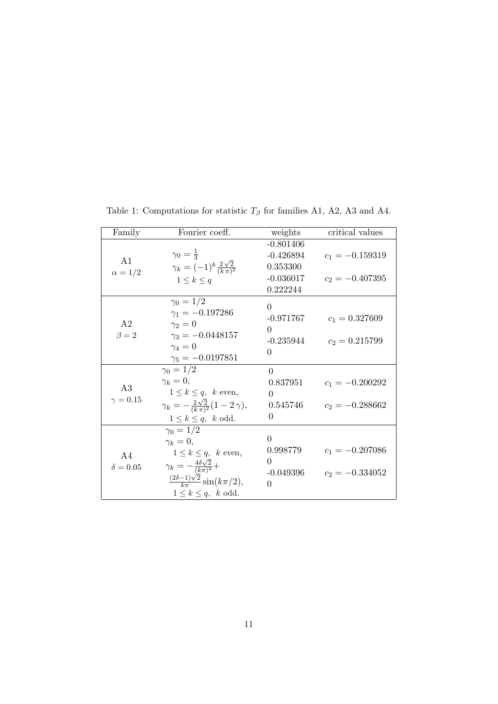| Family          | Fourier coeff.                                       | weights     | critical values   |
|-----------------|------------------------------------------------------|-------------|-------------------|
|                 |                                                      | $-0.801406$ |                   |
| A1              | $\gamma_0 = \frac{1}{3}$                             | $-0.426894$ | $c_1 = -0.159319$ |
|                 | $\gamma_k = (-1)^k \frac{2\sqrt{2}}{(k\pi)^2}$       | 0.353300    |                   |
| $\alpha = 1/2$  | $1\leq k\leq q$                                      | $-0.036017$ | $c_2 = -0.407395$ |
|                 |                                                      | 0.222244    |                   |
|                 | $\gamma_0 = 1/2$                                     | $\theta$    |                   |
|                 | $\gamma_1 = -0.197286$                               | $-0.971767$ | $c_1 = 0.327609$  |
| A <sub>2</sub>  | $\gamma_2=0$                                         | $\Omega$    |                   |
| $\beta = 2$     | $\gamma_3 = -0.0448157$                              |             |                   |
|                 | $\gamma_4=0$                                         | $-0.235944$ | $c_2 = 0.215799$  |
|                 | $\gamma_5 = -0.0197851$                              | $\Omega$    |                   |
|                 | $\gamma_0 = 1/2$                                     | $\Omega$    |                   |
|                 | $\gamma_k=0,$                                        | 0.837951    | $c_1 = -0.200292$ |
| A3              | $1 \leq k \leq q$ , k even,                          | 0           |                   |
| $\gamma = 0.15$ | $\gamma_k = -\frac{2\sqrt{2}}{(k\pi)^2}(1-2\gamma),$ | 0.545746    | $c_2 = -0.288662$ |
|                 | $1 \leq k \leq q$ , k odd.                           | 0           |                   |
|                 | $\gamma_0 = 1/2$                                     |             |                   |
|                 | $\gamma_k=0,$                                        | $\theta$    |                   |
| A4              | $1 \leq k \leq q$ , k even,                          | 0.998779    | $c_1 = -0.207086$ |
| $\delta = 0.05$ | $\gamma_k = -\frac{4\delta\sqrt{2}}{(k\pi)^2} +$     | 0           |                   |
|                 |                                                      | -0.049396   | $c_2 = -0.334052$ |
|                 | $\frac{(2\delta-1)\sqrt{2}}{k\pi}\sin(k\pi/2),$      | $\Omega$    |                   |
|                 | $1 \leq k \leq q$ , k odd.                           |             |                   |

Table 1: Computations for statistic  $T_{\beta}$  for families A1, A2, A3 and A4.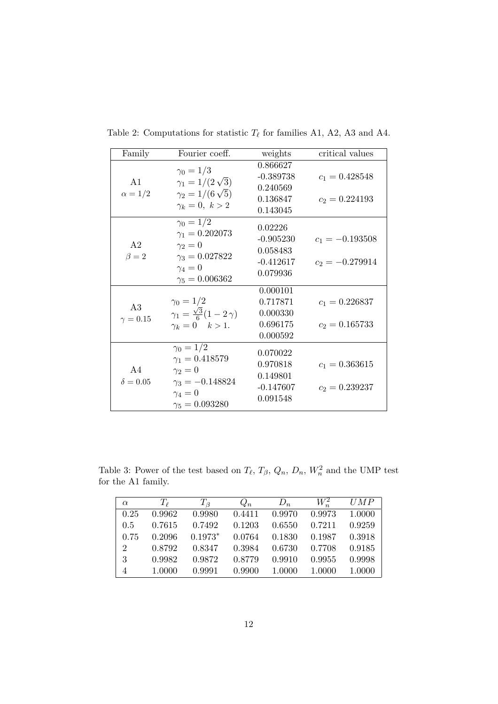| Family                        | Fourier coeff.                                                                                                               | weights                                                       | critical values                        |
|-------------------------------|------------------------------------------------------------------------------------------------------------------------------|---------------------------------------------------------------|----------------------------------------|
| A1<br>$\alpha = 1/2$          | $\gamma_0=1/3$<br>$\gamma_1 = 1/(2\sqrt{3})$<br>$\gamma_2 = 1/(6\sqrt{5})$<br>$\gamma_k=0, \; k>2$                           | 0.866627<br>$-0.389738$<br>0.240569<br>0.136847<br>0.143045   | $c_1 = 0.428548$<br>$c_2 = 0.224193$   |
| A <sub>2</sub><br>$\beta = 2$ | $\gamma_0 = 1/2$<br>$\gamma_1 = 0.202073$<br>$\gamma_2=0$<br>$\gamma_3 = 0.027822$<br>$\gamma_4=0$<br>$\gamma_5 = 0.006362$  | 0.02226<br>$-0.905230$<br>0.058483<br>$-0.412617$<br>0.079936 | $c_1 = -0.193508$<br>$c_2 = -0.279914$ |
| A3<br>$\gamma = 0.15$         | $\gamma_0 = 1/2$<br>$\gamma_1 = \frac{\sqrt{3}}{6}(1-2\gamma)$<br>$\gamma_k = 0 \quad k > 1.$                                | 0.000101<br>0.717871<br>0.000330<br>0.696175<br>0.000592      | $c_1 = 0.226837$<br>$c_2 = 0.165733$   |
| A4<br>$\delta = 0.05$         | $\gamma_0 = 1/2$<br>$\gamma_1 = 0.418579$<br>$\gamma_2=0$<br>$\gamma_3 = -0.148824$<br>$\gamma_4=0$<br>$\gamma_5 = 0.093280$ | 0.070022<br>0.970818<br>0.149801<br>$-0.147607$<br>0.091548   | $c_1 = 0.363615$<br>$c_2 = 0.239237$   |

Table 2: Computations for statistic  $T_{\ell}$  for families A1, A2, A3 and A4.

Table 3: Power of the test based on  $T_{\ell}$ ,  $T_{\beta}$ ,  $Q_n$ ,  $D_n$ ,  $W_n^2$  and the UMP test for the A1 family.

| $\alpha$       | $T_{\ell}$ | $T_{\beta}$ | $Q_n$  | $D_n$  | $W^2_{\tilde{}}$ | UMP    |
|----------------|------------|-------------|--------|--------|------------------|--------|
| 0.25           | 0.9962     | 0.9980      | 0.4411 | 0.9970 | 0.9973           | 1.0000 |
| 0.5            | 0.7615     | 0.7492      | 0.1203 | 0.6550 | 0.7211           | 0.9259 |
| 0.75           | 0.2096     | $0.1973*$   | 0.0764 | 0.1830 | 0.1987           | 0.3918 |
| $\overline{2}$ | 0.8792     | 0.8347      | 0.3984 | 0.6730 | 0.7708           | 0.9185 |
| 3              | 0.9982     | 0.9872      | 0.8779 | 0.9910 | 0.9955           | 0.9998 |
| $\overline{4}$ | 1.0000     | 0.9991      | 0.9900 | 1.0000 | 1.0000           | 1.0000 |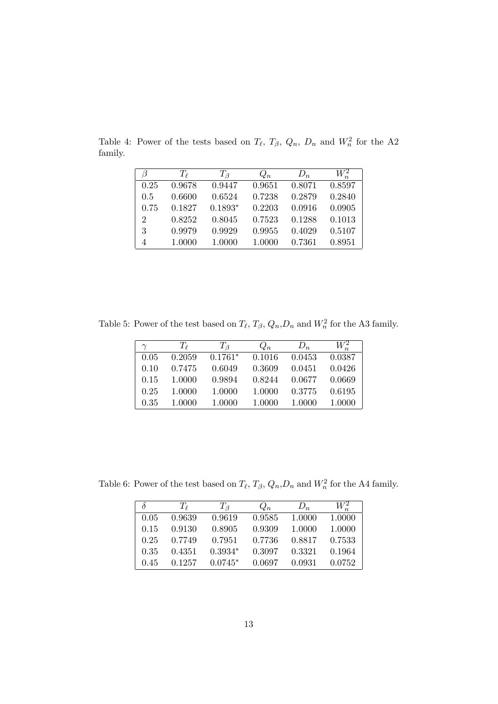|                             | $T_{\ell}$ | $T_{\beta}$ | $Q_n$  | $D_n$  | $W^2_{\scriptscriptstyle\sim}$ |
|-----------------------------|------------|-------------|--------|--------|--------------------------------|
| 0.25                        | 0.9678     | 0.9447      | 0.9651 | 0.8071 | 0.8597                         |
| 0.5                         | 0.6600     | 0.6524      | 0.7238 | 0.2879 | 0.2840                         |
| 0.75                        | 0.1827     | $0.1893*$   | 0.2203 | 0.0916 | 0.0905                         |
| $\mathcal{D}_{\mathcal{L}}$ | 0.8252     | 0.8045      | 0.7523 | 0.1288 | 0.1013                         |
| 3                           | 0.9979     | 0.9929      | 0.9955 | 0.4029 | 0.5107                         |
| 4                           | 1.0000     | 1.0000      | 1.0000 | 0.7361 | 0.8951                         |

Table 4: Power of the tests based on  $T_{\ell}$ ,  $T_{\beta}$ ,  $Q_n$ ,  $D_n$  and  $W_n^2$  for the A2 family.

Table 5: Power of the test based on  $T_{\ell}$ ,  $T_{\beta}$ ,  $Q_n$ ,  $D_n$  and  $W_n^2$  for the A3 family.

| $\gamma$ | $T_{\ell}$ | $T_{\beta}$ | $Q_n$  | $D_n$  | $W_n^2$ |
|----------|------------|-------------|--------|--------|---------|
| 0.05     | 0.2059     | $0.1761*$   | 0.1016 | 0.0453 | 0.0387  |
| 0.10     | 0.7475     | 0.6049      | 0.3609 | 0.0451 | 0.0426  |
| 0.15     | 1.0000     | 0.9894      | 0.8244 | 0.0677 | 0.0669  |
| 0.25     | 1.0000     | 1.0000      | 1.0000 | 0.3775 | 0.6195  |
| 0.35     | 1.0000     | 1.0000      | 1.0000 | 1.0000 | 1.0000  |

Table 6: Power of the test based on  $T_{\ell}$ ,  $T_{\beta}$ ,  $Q_n$ ,  $D_n$  and  $W_n^2$  for the A4 family.

| δ    | $T_{\ell}$ | $T_{\beta}$ | $Q_n$  | $D_n$  | $W^2$  |
|------|------------|-------------|--------|--------|--------|
| 0.05 | 0.9639     | 0.9619      | 0.9585 | 1.0000 | 1.0000 |
| 0.15 | 0.9130     | 0.8905      | 0.9309 | 1.0000 | 1.0000 |
| 0.25 | 0.7749     | 0.7951      | 0.7736 | 0.8817 | 0.7533 |
| 0.35 | 0.4351     | $0.3934*$   | 0.3097 | 0.3321 | 0.1964 |
| 0.45 | 0.1257     | $0.0745*$   | 0.0697 | 0.0931 | 0.0752 |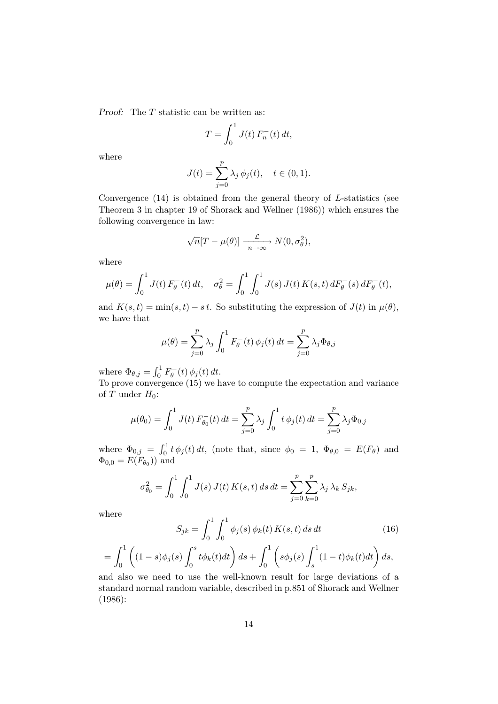Proof: The T statistic can be written as:

$$
T = \int_0^1 J(t) F_n^-(t) dt,
$$

where

$$
J(t) = \sum_{j=0}^{p} \lambda_j \, \phi_j(t), \quad t \in (0, 1).
$$

Convergence  $(14)$  is obtained from the general theory of L-statistics (see Theorem 3 in chapter 19 of Shorack and Wellner (1986)) which ensures the following convergence in law:

$$
\sqrt{n}[T-\mu(\theta)] \xrightarrow[n \to \infty]{\mathcal{L}} N(0, \sigma_{\theta}^2),
$$

where

$$
\mu(\theta) = \int_0^1 J(t) F_{\theta}^-(t) dt, \quad \sigma_{\theta}^2 = \int_0^1 \int_0^1 J(s) J(t) K(s, t) dF_{\theta}^-(s) dF_{\theta}^-(t),
$$

and  $K(s,t) = \min(s,t) - st$ . So substituting the expression of  $J(t)$  in  $\mu(\theta)$ , we have that

$$
\mu(\theta) = \sum_{j=0}^{p} \lambda_j \int_0^1 F_{\theta}^-(t) \phi_j(t) dt = \sum_{j=0}^{p} \lambda_j \Phi_{\theta,j}
$$

where  $\Phi_{\theta,j} = \int_0^1 F_{\theta}^-(t) \phi_j(t) dt$ .

To prove convergence (15) we have to compute the expectation and variance of  $T$  under  $H_0$ :

$$
\mu(\theta_0) = \int_0^1 J(t) F_{\theta_0}^-(t) dt = \sum_{j=0}^p \lambda_j \int_0^1 t \phi_j(t) dt = \sum_{j=0}^p \lambda_j \Phi_{0,j}
$$

where  $\Phi_{0,j} = \int_0^1 t \, \phi_j(t) \, dt$ , (note that, since  $\phi_0 = 1$ ,  $\Phi_{\theta,0} = E(F_{\theta})$  and  $\Phi_{0,0} = E(F_{\theta_0})$  and

$$
\sigma_{\theta_0}^2 = \int_0^1 \int_0^1 J(s) J(t) K(s, t) ds dt = \sum_{j=0}^p \sum_{k=0}^p \lambda_j \lambda_k S_{jk},
$$

where

$$
S_{jk} = \int_0^1 \int_0^1 \phi_j(s) \phi_k(t) K(s, t) ds dt
$$
\n(16)  
\n(a)  $\int_0^s t \phi_k(t) dt$   $ds + \int_0^1 \int_0^1 \phi_k(s) \int_0^1 (1 - t) \phi_k(t) dt$   $ds$ 

$$
= \int_0^1 \left( (1-s)\phi_j(s) \int_0^s t\phi_k(t)dt \right) ds + \int_0^1 \left( s\phi_j(s) \int_s^1 (1-t)\phi_k(t)dt \right) ds,
$$
  
and also we need to use the well-known result for large deviations of a

standard normal random variable, described in p.851 of Shorack and Wellner (1986):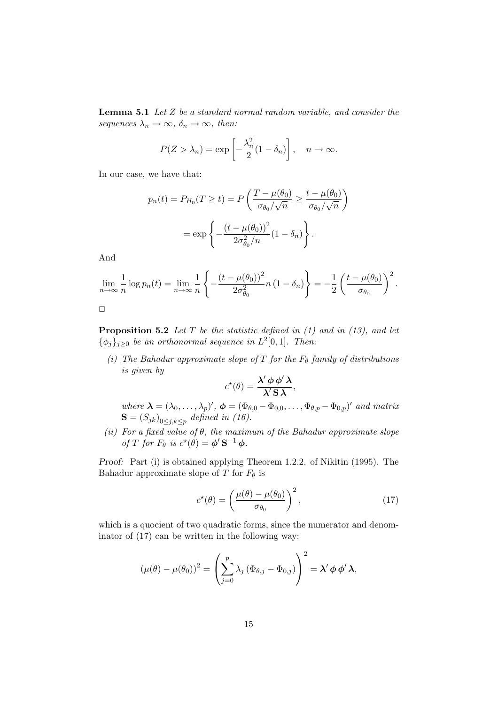**Lemma 5.1** Let  $Z$  be a standard normal random variable, and consider the sequences  $\lambda_n \to \infty$ ,  $\delta_n \to \infty$ , then:

$$
P(Z > \lambda_n) = \exp\left[-\frac{\lambda_n^2}{2}(1 - \delta_n)\right], \quad n \to \infty.
$$

In our case, we have that:

$$
p_n(t) = P_{H_0}(T \ge t) = P\left(\frac{T - \mu(\theta_0)}{\sigma_{\theta_0}/\sqrt{n}} \ge \frac{t - \mu(\theta_0)}{\sigma_{\theta_0}/\sqrt{n}}\right)
$$

$$
= \exp\left\{-\frac{(t - \mu(\theta_0))^2}{2\sigma_{\theta_0}^2/n}(1 - \delta_n)\right\}.
$$

And

$$
\lim_{n \to \infty} \frac{1}{n} \log p_n(t) = \lim_{n \to \infty} \frac{1}{n} \left\{ -\frac{(t - \mu(\theta_0))^2}{2\sigma_{\theta_0}^2} n (1 - \delta_n) \right\} = -\frac{1}{2} \left( \frac{t - \mu(\theta_0)}{\sigma_{\theta_0}} \right)^2.
$$

**Proposition 5.2** Let T be the statistic defined in  $(1)$  and in  $(13)$ , and let  $\{\phi_j\}_{j\geq 0}$  be an orthonormal sequence in  $L^2[0,1]$ . Then:

(i) The Bahadur approximate slope of T for the  $F_{\theta}$  family of distributions is given by

$$
c^{\star}(\theta) = \frac{\lambda' \phi \phi' \lambda}{\lambda' S \lambda},
$$

where  $\boldsymbol{\lambda} = (\lambda_0, \dots, \lambda_p)'$ ,  $\boldsymbol{\phi} = (\Phi_{\theta,0} - \Phi_{0,0}, \dots, \Phi_{\theta,p} - \Phi_{0,p})'$  and matrix  $\mathbf{S} = (S_{jk})_{0 \leq j,k \leq p}$  defined in (16).

(ii) For a fixed value of  $\theta$ , the maximum of the Bahadur approximate slope of T for  $F_{\theta}$  is  $c^{\star}(\theta) = \phi' \mathbf{S}^{-1} \phi$ .

Proof: Part (i) is obtained applying Theorem 1.2.2. of Nikitin (1995). The Bahadur approximate slope of T for  $F_{\theta}$  is

$$
c^{\star}(\theta) = \left(\frac{\mu(\theta) - \mu(\theta_0)}{\sigma_{\theta_0}}\right)^2, \tag{17}
$$

which is a quocient of two quadratic forms, since the numerator and denominator of (17) can be written in the following way:

$$
(\mu(\theta) - \mu(\theta_0))^2 = \left(\sum_{j=0}^p \lambda_j (\Phi_{\theta,j} - \Phi_{0,j})\right)^2 = \lambda' \phi \phi' \lambda,
$$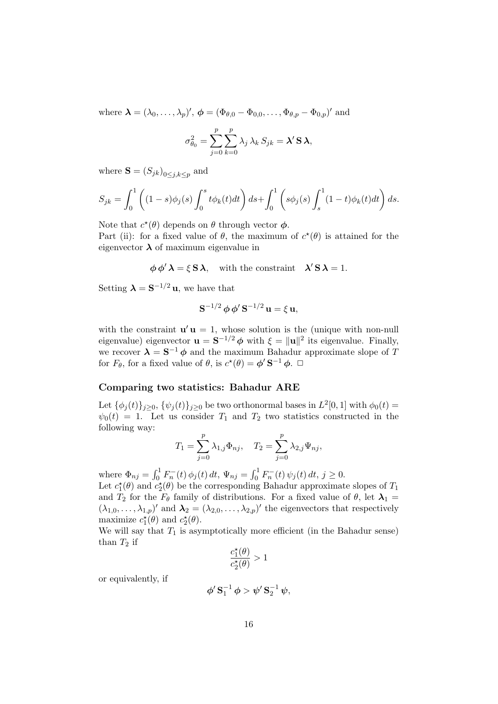where  $\boldsymbol{\lambda} = (\lambda_0, \dots, \lambda_p)', \boldsymbol{\phi} = (\Phi_{\theta,0} - \Phi_{0,0}, \dots, \Phi_{\theta,p} - \Phi_{0,p})'$  and

$$
\sigma_{\theta_0}^2 = \sum_{j=0}^p \sum_{k=0}^p \lambda_j \lambda_k S_{jk} = \lambda' \mathbf{S} \lambda,
$$

where  $\mathbf{S} = (S_{jk})_{0 \leq j,k \leq p}$  and

$$
S_{jk} = \int_0^1 \left( (1-s)\phi_j(s) \int_0^s t\phi_k(t)dt \right) ds + \int_0^1 \left( s\phi_j(s) \int_s^1 (1-t)\phi_k(t)dt \right) ds.
$$

Note that  $c^*(\theta)$  depends on  $\theta$  through vector  $\phi$ .

Part (ii): for a fixed value of  $\theta$ , the maximum of  $c^*(\theta)$  is attained for the eigenvector  $\lambda$  of maximum eigenvalue in

$$
\phi \phi' \lambda = \xi S \lambda
$$
, with the constraint  $\lambda' S \lambda = 1$ .

Setting  $\lambda = S^{-1/2} u$ , we have that

$$
\mathbf{S}^{-1/2}\,\boldsymbol{\phi}\,\boldsymbol{\phi}'\,\mathbf{S}^{-1/2}\,\mathbf{u} = \xi\,\mathbf{u},
$$

with the constraint  $\mathbf{u}'\mathbf{u} = 1$ , whose solution is the (unique with non-null eigenvalue) eigenvector  $\mathbf{u} = \mathbf{S}^{-1/2} \phi$  with  $\xi = ||\mathbf{u}||^2$  its eigenvalue. Finally, we recover  $\lambda = S^{-1} \phi$  and the maximum Bahadur approximate slope of T for  $F_{\theta}$ , for a fixed value of  $\theta$ , is  $c^{\star}(\theta) = \phi' \mathbf{S}^{-1} \phi$ .  $\Box$ 

#### Comparing two statistics: Bahadur ARE

Let  $\{\phi_j(t)\}_{j\geq 0}$ ,  $\{\psi_j(t)\}_{j\geq 0}$  be two orthonormal bases in  $L^2[0,1]$  with  $\phi_0(t)$  =  $\psi_0(t) = 1$ . Let us consider  $T_1$  and  $T_2$  two statistics constructed in the following way:

$$
T_1 = \sum_{j=0}^p \lambda_{1,j} \Phi_{nj}, \quad T_2 = \sum_{j=0}^p \lambda_{2,j} \Psi_{nj},
$$

where  $\Phi_{nj} = \int_0^1 F_n^-(t) \phi_j(t) dt$ ,  $\Psi_{nj} = \int_0^1 F_n^-(t) \psi_j(t) dt$ ,  $j \ge 0$ .

Let  $c_1^{\star}(\theta)$  and  $c_2^{\star}(\theta)$  be the corresponding Bahadur approximate slopes of  $T_1$ and  $T_2$  for the  $F_\theta$  family of distributions. For a fixed value of  $\theta$ , let  $\lambda_1 =$  $(\lambda_{1,0},\ldots,\lambda_{1,p})'$  and  $\lambda_2=(\lambda_{2,0},\ldots,\lambda_{2,p})'$  the eigenvectors that respectively maximize  $c_1^{\star}(\theta)$  and  $c_2^{\star}(\theta)$ .

We will say that  $T_1$  is asymptotically more efficient (in the Bahadur sense) than  $T_2$  if

$$
\frac{c_1^\star(\theta)}{c_2^\star(\theta)}>1
$$

or equivalently, if

$$
\phi' \,\mathbf{S}_1^{-1} \,\phi > \psi' \,\mathbf{S}_2^{-1} \,\psi,
$$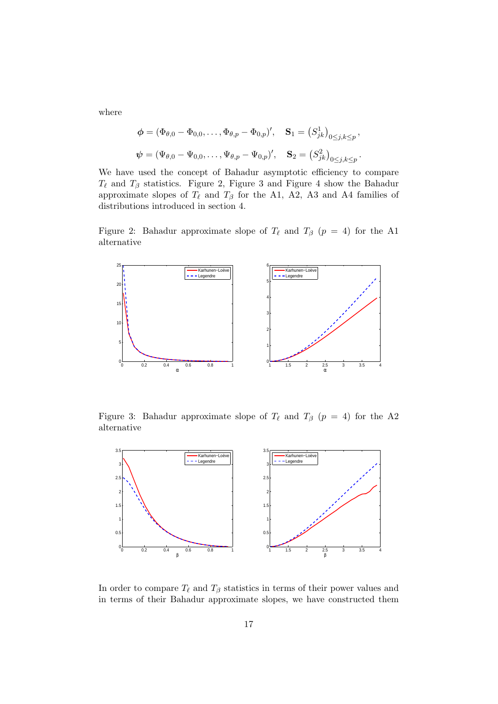where

$$
\phi = (\Phi_{\theta,0} - \Phi_{0,0}, \dots, \Phi_{\theta,p} - \Phi_{0,p})', \quad \mathbf{S}_1 = (S_{jk}^1)_{0 \le j,k \le p},
$$
  

$$
\psi = (\Psi_{\theta,0} - \Psi_{0,0}, \dots, \Psi_{\theta,p} - \Psi_{0,p})', \quad \mathbf{S}_2 = (S_{jk}^2)_{0 \le j,k \le p}.
$$

We have used the concept of Bahadur asymptotic efficiency to compare  $T_{\ell}$  and  $T_{\beta}$  statistics. Figure 2, Figure 3 and Figure 4 show the Bahadur approximate slopes of  $T_{\ell}$  and  $T_{\beta}$  for the A1, A2, A3 and A4 families of distributions introduced in section 4.

Figure 2: Bahadur approximate slope of  $T_{\ell}$  and  $T_{\beta}$  ( $p = 4$ ) for the A1 alternative



Figure 3: Bahadur approximate slope of  $T_{\ell}$  and  $T_{\beta}$  ( $p = 4$ ) for the A2 alternative



In order to compare  $T_{\ell}$  and  $T_{\beta}$  statistics in terms of their power values and in terms of their Bahadur approximate slopes, we have constructed them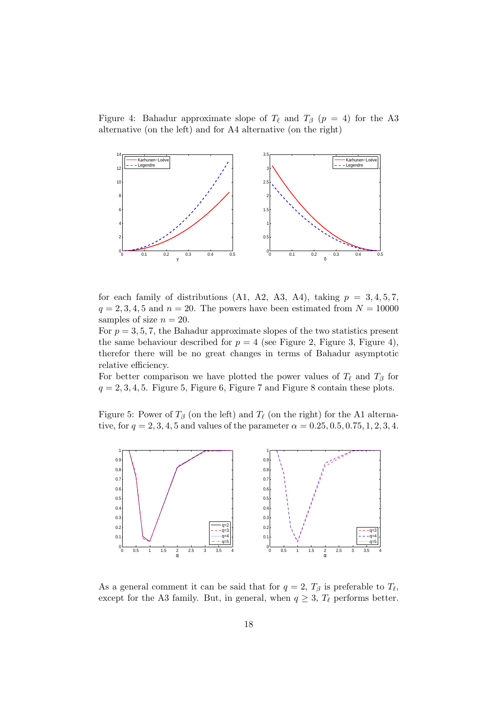Figure 4: Bahadur approximate slope of  $T_{\ell}$  and  $T_{\beta}$  ( $p = 4$ ) for the A3 alternative (on the left) and for A4 alternative (on the right)



for each family of distributions (A1, A2, A3, A4), taking  $p = 3, 4, 5, 7$ ,  $q = 2, 3, 4, 5$  and  $n = 20$ . The powers have been estimated from  $N = 10000$ samples of size  $n = 20$ .

For  $p = 3, 5, 7$ , the Bahadur approximate slopes of the two statistics present the same behaviour described for  $p = 4$  (see Figure 2, Figure 3, Figure 4), therefor there will be no great changes in terms of Bahadur asymptotic relative efficiency.

For better comparison we have plotted the power values of  $T_{\ell}$  and  $T_{\beta}$  for  $q = 2, 3, 4, 5$ . Figure 5, Figure 6, Figure 7 and Figure 8 contain these plots.

Figure 5: Power of  $T_\beta$  (on the left) and  $T_\ell$  (on the right) for the A1 alternative, for  $q = 2, 3, 4, 5$  and values of the parameter  $\alpha = 0.25, 0.5, 0.75, 1, 2, 3, 4$ .



As a general comment it can be said that for  $q=2$ ,  $T_{\beta}$  is preferable to  $T_{\ell}$ , except for the A3 family. But, in general, when  $q \geq 3$ ,  $T_{\ell}$  performs better.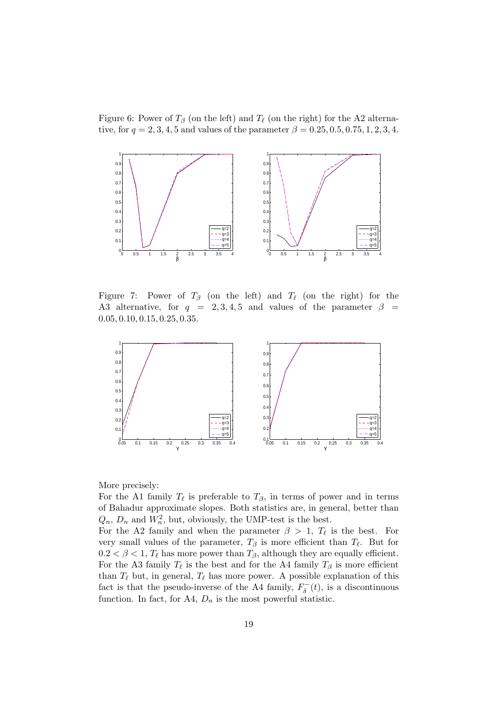Figure 6: Power of  $T_\beta$  (on the left) and  $T_\ell$  (on the right) for the A2 alternative, for  $q = 2, 3, 4, 5$  and values of the parameter  $\beta = 0.25, 0.5, 0.75, 1, 2, 3, 4$ .



Figure 7: Power of  $T_\beta$  (on the left) and  $T_\ell$  (on the right) for the A3 alternative, for  $q = 2, 3, 4, 5$  and values of the parameter  $\beta =$ 0.05, 0.10, 0.15, 0.25, 0.35.



More precisely:

For the A1 family  $T_{\ell}$  is preferable to  $T_{\beta}$ , in terms of power and in terms of Bahadur approximate slopes. Both statistics are, in general, better than  $Q_n$ ,  $D_n$  and  $W_n^2$ , but, obviously, the UMP-test is the best.

For the A2 family and when the parameter  $\beta > 1$ ,  $T_{\ell}$  is the best. For very small values of the parameter,  $T_\beta$  is more efficient than  $T_\ell$ . But for  $0.2 < \beta < 1$ ,  $T_{\ell}$  has more power than  $T_{\beta}$ , although they are equally efficient. For the A3 family  $T_{\ell}$  is the best and for the A4 family  $T_{\beta}$  is more efficient than  $T_{\ell}$  but, in general,  $T_{\ell}$  has more power. A possible explanation of this fact is that the pseudo-inverse of the A4 family,  $F_{\delta}^{-}(t)$ , is a discontinuous function. In fact, for A4,  $D_n$  is the most powerful statistic.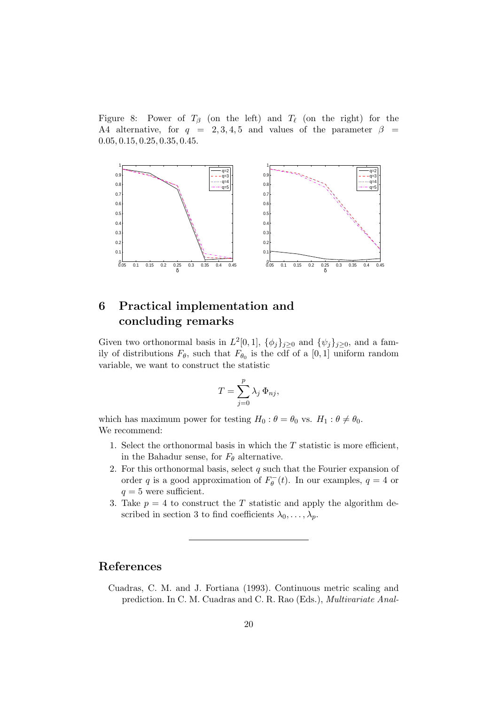Figure 8: Power of  $T_\beta$  (on the left) and  $T_\ell$  (on the right) for the A4 alternative, for  $q = 2, 3, 4, 5$  and values of the parameter  $\beta =$ 0.05, 0.15, 0.25, 0.35, 0.45.



# 6 Practical implementation and concluding remarks

Given two orthonormal basis in  $L^2[0,1]$ ,  $\{\phi_j\}_{j\geq 0}$  and  $\{\psi_j\}_{j\geq 0}$ , and a family of distributions  $F_{\theta}$ , such that  $F_{\theta_0}$  is the cdf of a [0, 1] uniform random variable, we want to construct the statistic

$$
T = \sum_{j=0}^{p} \lambda_j \, \Phi_{nj},
$$

which has maximum power for testing  $H_0$ :  $\theta = \theta_0$  vs.  $H_1 : \theta \neq \theta_0$ . We recommend:

- 1. Select the orthonormal basis in which the  $T$  statistic is more efficient, in the Bahadur sense, for  $F_{\theta}$  alternative.
- 2. For this orthonormal basis, select  $q$  such that the Fourier expansion of order q is a good approximation of  $F_{\theta}^{-}(t)$ . In our examples,  $q = 4$  or  $q=5$  were sufficient.
- 3. Take  $p = 4$  to construct the T statistic and apply the algorithm described in section 3 to find coefficients  $\lambda_0, \ldots, \lambda_p$ .

## References

Cuadras, C. M. and J. Fortiana (1993). Continuous metric scaling and prediction. In C. M. Cuadras and C. R. Rao (Eds.), Multivariate Anal-